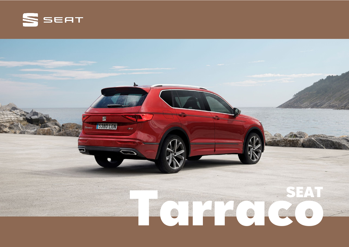

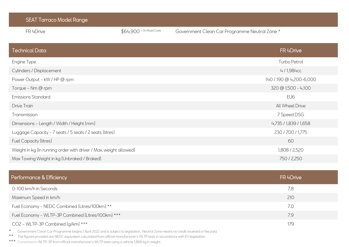| <b>SEAT Tarraco Model Range</b>                                   |                           |                                               |
|-------------------------------------------------------------------|---------------------------|-----------------------------------------------|
| FR 4Drive                                                         | $$64,900$ + On Road Costs | Government Clean Car Programme Neutral Zone * |
| <b>Technical Data</b>                                             |                           | FR 4Drive                                     |
| Engine Type                                                       |                           | Turbo Petrol                                  |
| Cylinders / Displacement                                          |                           | 4/1,984cc                                     |
| Power Output - kW / HP @ rpm                                      |                           | 140 / 190 @ 4,200-6,000                       |
| Torque - Nm @ rpm                                                 |                           | $320 \text{ } @ 1,500 - 4,100$                |
| <b>Emissions Standard</b>                                         |                           | EU6                                           |
| <b>Drive Train</b>                                                |                           | All Wheel Drive                               |
| Transmission                                                      |                           | 7 Speed DSG                                   |
| Dimensions - Length / Width / Height (mm)                         |                           | 4,735 / 1,839 / 1,658                         |
| Luggage Capacity - 7 seats / 5 seats / 2 seats (litres)           |                           | 230 / 700 / 1,775                             |
| <b>Fuel Capacity (litres)</b>                                     |                           | 60                                            |
| Weight in kg (In running order with driver / Max. weight allowed) |                           | 1,808 / 2,520                                 |
| Max Towing Weight in kg (Unbraked / Braked)                       |                           | 750 / 2,250                                   |
|                                                                   |                           |                                               |

| Performance & Efficiency                                                                                                                                | FR 4Drive |
|---------------------------------------------------------------------------------------------------------------------------------------------------------|-----------|
| 0-100 km/h in Seconds                                                                                                                                   | 7.8       |
| Maximum Speed in km/h                                                                                                                                   | 210       |
| Fuel Economy - NEDC Combined (Litres/100km) **                                                                                                          | 7.0       |
| Fuel Economy - WLTP-3P Combined (Litres/100km) ***                                                                                                      | 7.9       |
| CO2 - WLTP-3P Combined [g/km] ***                                                                                                                       | 179       |
| * All Continuous Office Car Displayers to the start fund popposed to display the displayer. No analyze a component of the second of first of the second |           |

Government Clean Car Programme begins 1 April 2022 and is subject to legislation. Neutral Zone means no credit received or fee paid.

\*\* The figures provided are NEDC equivalent calculated from official manufacturer's WLTP tests in accordance with EU legislation.

\*\*\* Converted to WLTP-3P from official manufacturer's WLTP tests using a vehicle 1,866 kg in weight.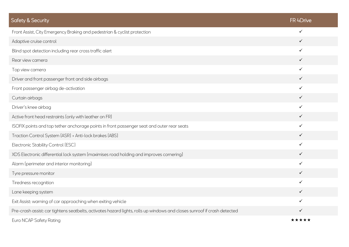| <b>Safety &amp; Security</b>                                                                                             | FR 4Drive    |
|--------------------------------------------------------------------------------------------------------------------------|--------------|
| Front Assist, City Emergency Braking and pedestrian & cyclist protection                                                 | $\checkmark$ |
| Adaptive cruise control                                                                                                  | $\checkmark$ |
| Blind spot detection including rear cross traffic alert                                                                  | $\checkmark$ |
| Rear view camera                                                                                                         | $\checkmark$ |
| Top view camera                                                                                                          | $\checkmark$ |
| Driver and front passenger front and side airbags                                                                        | $\checkmark$ |
| Front passenger airbag de-activation                                                                                     | $\checkmark$ |
| Curtain airbags                                                                                                          | $\checkmark$ |
| Driver's knee airbag                                                                                                     | $\checkmark$ |
| Active front head restraints (only with leather on FR)                                                                   | $\checkmark$ |
| ISOFIX points and top tether anchorage points in front passenger seat and outer rear seats                               | $\checkmark$ |
| Traction Control System [ASR] + Anti-lock brakes [ABS]                                                                   | $\checkmark$ |
| Electronic Stability Control (ESC)                                                                                       | $\checkmark$ |
| XDS Electronic differential lock system (maximises road holding and improves cornering)                                  | $\checkmark$ |
| Alarm (perimeter and interior monitoring)                                                                                | $\checkmark$ |
| Tyre pressure monitor                                                                                                    | $\checkmark$ |
| Tiredness recognition                                                                                                    | $\checkmark$ |
| Lane keeping system                                                                                                      | $\checkmark$ |
| Exit Assist: warning of car approaching when exiting vehicle                                                             | $\checkmark$ |
| Pre-crash assist: car tightens seatbelts, activates hazard lights, rolls up windows and closes sunroof if crash detected | $\checkmark$ |
| Euro NCAP Safety Rating                                                                                                  | *****        |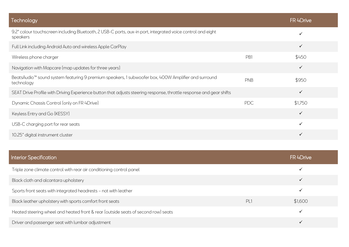| Technology                                                                                                                    |            | FR 4Drive    |
|-------------------------------------------------------------------------------------------------------------------------------|------------|--------------|
| 9.2" colour touchscreen including Bluetooth, 2 USB-C ports, aux-in port, integrated voice control and eight<br>speakers       |            | $\checkmark$ |
| Full Link including Android Auto and wireless Apple CarPlay                                                                   |            | $\checkmark$ |
| Wireless phone charger                                                                                                        | PB1        | \$450        |
| Navigation with Mapcare (map updates for three years)                                                                         |            | $\checkmark$ |
| BeatsAudio <sup>™</sup> sound system featuring 9 premium speakers, 1 subwoofer box, 400W Amplifier and surround<br>technology | PNB        | \$950        |
| SEAT Drive Profile with Driving Experience button that adjusts steering response, throttle response and gear shifts           |            | $\checkmark$ |
| Dynamic Chassis Control (only on FR 4Drive)                                                                                   | <b>PDC</b> | \$1,750      |
| Keyless Entry and Go (KESSY)                                                                                                  |            | $\checkmark$ |
| USB-C charging port for rear seats                                                                                            |            | $\checkmark$ |
| 10.25" digital instrument cluster                                                                                             |            | ✓            |

| <b>Interior Specification</b>                                                     |    | FR 4Drive    |
|-----------------------------------------------------------------------------------|----|--------------|
| Triple zone climate control with rear air conditioning control panel              |    |              |
| Black cloth and alcantara upholstery                                              |    | $\checkmark$ |
| Sports front seats with integrated headrests - not with leather                   |    | $\checkmark$ |
| Black leather upholstery with sports comfort front seats                          | PL | \$1,600      |
| Heated steering wheel and heated front & rear (outside seats of second row) seats |    |              |
| Driver and passenger seat with lumbar adjustment                                  |    |              |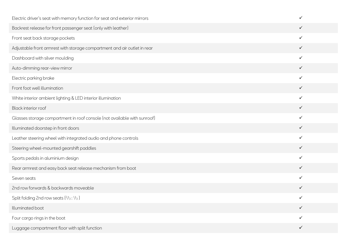| Electric driver's seat with memory function for seat and exterior mirrors | $\checkmark$ |
|---------------------------------------------------------------------------|--------------|
| Backrest release for front passenger seat (only with leather)             | $\checkmark$ |
| Front seat back storage pockets                                           | $\checkmark$ |
| Adjustable front armrest with storage compartment and air outlet in rear  | $\checkmark$ |
| Dashboard with silver moulding                                            | $\checkmark$ |
| Auto-dimming rear-view mirror                                             | $\checkmark$ |
| Electric parking brake                                                    | $\checkmark$ |
| Front foot well illumination                                              | $\checkmark$ |
| White interior ambient lighting & LED interior illumination               | $\checkmark$ |
| Black interior roof                                                       | $\checkmark$ |
| Glasses storage compartment in roof console (not available with sunroof)  | $\checkmark$ |
| Illuminated doorstep in front doors                                       | $\checkmark$ |
| Leather steering wheel with integrated audio and phone controls           | $\checkmark$ |
| Steering wheel-mounted gearshift paddles                                  | $\checkmark$ |
| Sports pedals in aluminium design                                         | $\checkmark$ |
| Rear armrest and easy back seat release mechanism from boot               | $\checkmark$ |
| Seven seats                                                               | $\checkmark$ |
| 2nd row forwards & backwards moveable                                     | $\checkmark$ |
| Split folding 2nd row seats [2/3 : 1/3]                                   | $\checkmark$ |
| Illuminated boot                                                          | $\checkmark$ |
| Four cargo rings in the boot                                              | ✓            |
| Luggage compartment floor with split function                             | $\checkmark$ |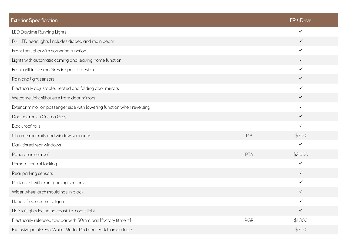| <b>Exterior Specification</b>                                           |     | FR 4Drive    |
|-------------------------------------------------------------------------|-----|--------------|
| LED Daytime Running Lights                                              |     | $\checkmark$ |
| Full LED headlights (includes dipped and main beam)                     |     | $\checkmark$ |
| Front fog lights with cornering function                                |     | $\checkmark$ |
| Lights with automatic coming and leaving home function                  |     | $\checkmark$ |
| Front grill in Cosmo Grey in specific design                            |     | $\checkmark$ |
| Rain and light sensors                                                  |     | $\checkmark$ |
| Electrically adjustable, heated and folding door mirrors                |     | $\checkmark$ |
| Welcome light silhouette from door mirrors                              |     | $\checkmark$ |
| Exterior mirror on passenger side with lowering function when reversing |     | $\checkmark$ |
| Door mirrors in Cosmo Grey                                              |     | $\checkmark$ |
| <b>Black roof rails</b>                                                 |     | $\checkmark$ |
| Chrome roof rails and window surrounds                                  | PIB | \$700        |
| Dark tinted rear windows                                                |     | $\checkmark$ |
| Panoramic sunroof                                                       | PTA | \$2,000      |
| Remote central locking                                                  |     | $\checkmark$ |
| Rear parking sensors                                                    |     | $\checkmark$ |
| Park assist with front parking sensors                                  |     | $\checkmark$ |
| Wider wheel arch mouldings in black                                     |     | $\checkmark$ |
| Hands-free electric tailgate                                            |     | $\checkmark$ |
| LED taillights including coast-to-coast light                           |     | $\checkmark$ |
| Electrically released tow bar with 50mm ball (factory fitment)          | PGR | \$1,300      |
| Exclusive paint: Oryx White, Merlot Red and Dark Camouflage             |     | \$700        |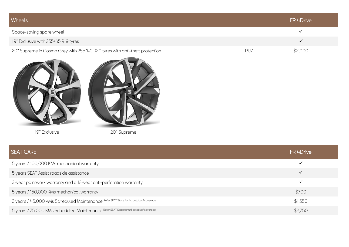| Wheels                                                                     |            | FR 4Drive |
|----------------------------------------------------------------------------|------------|-----------|
| Space-saving spare wheel                                                   |            |           |
| 19" Exclusive with 255/45 R19 tyres                                        |            |           |
| 20" Supreme in Cosmo Grey with 255/40 R20 tyres with anti-theft protection | <b>PUZ</b> | \$2,000   |
|                                                                            |            |           |





19" Exclusive 20" Supreme

| <b>SEAT CARE</b>                                                                         | FR 4Drive    |
|------------------------------------------------------------------------------------------|--------------|
| 5 years / 100,000 KMs mechanical warranty                                                |              |
| 5 years SEAT Assist roadside assistance                                                  | $\checkmark$ |
| 3-year paintwork warranty and a 12-year anti-perforation warranty                        |              |
| 5 years / 150,000 KMs mechanical warranty                                                | \$700        |
| 3 years / 45,000 KMs Scheduled Maintenance Refer SEAT Store for full details of coverage | \$1,550      |
| 5 years / 75,000 KMs Scheduled Maintenance Refer SEAT Store for full details of coverage | \$2,750      |